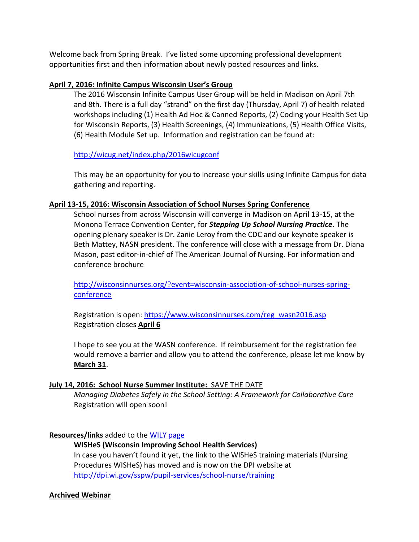Welcome back from Spring Break. I've listed some upcoming professional development opportunities first and then information about newly posted resources and links.

## **April 7, 2016: Infinite Campus Wisconsin User's Group**

The 2016 Wisconsin Infinite Campus User Group will be held in Madison on April 7th and 8th. There is a full day "strand" on the first day (Thursday, April 7) of health related workshops including (1) Health Ad Hoc & Canned Reports, (2) Coding your Health Set Up for Wisconsin Reports, (3) Health Screenings, (4) Immunizations, (5) Health Office Visits, (6) Health Module Set up. Information and registration can be found at:

<http://wicug.net/index.php/2016wicugconf>

This may be an opportunity for you to increase your skills using Infinite Campus for data gathering and reporting.

### **April 13-15, 2016: Wisconsin Association of School Nurses Spring Conference**

School nurses from across Wisconsin will converge in Madison on April 13-15, at the Monona Terrace Convention Center, for *Stepping Up School Nursing Practice*. The opening plenary speaker is Dr. Zanie Leroy from the CDC and our keynote speaker is Beth Mattey, NASN president. The conference will close with a message from Dr. Diana Mason, past editor-in-chief of The American Journal of Nursing. For information and conference brochure

[http://wisconsinnurses.org/?event=wisconsin-association-of-school-nurses-spring](http://wisconsinnurses.org/?event=wisconsin-association-of-school-nurses-spring-conference)[conference](http://wisconsinnurses.org/?event=wisconsin-association-of-school-nurses-spring-conference)

Registration is open: https://www.wisconsinnurses.com/reg\_wasn2016.asp Registration closes **April 6**

I hope to see you at the WASN conference. If reimbursement for the registration fee would remove a barrier and allow you to attend the conference, please let me know by **March 31**.

### **July 14, 2016: School Nurse Summer Institute:** SAVE THE DATE

*Managing Diabetes Safely in the School Setting: A Framework for Collaborative Care*  Registration will open soon!

# **Resources/links** added to th[e WILY page](http://dpi.wi.gov/sspw/pupil-services/school-nurse/wellness-improves-learning-for-youth/chronic-illness-management)

# **WISHeS (Wisconsin Improving School Health Services)**

In case you haven't found it yet, the link to the WISHeS training materials (Nursing Procedures WISHeS) has moved and is now on the DPI website at <http://dpi.wi.gov/sspw/pupil-services/school-nurse/training>

### **Archived Webinar**